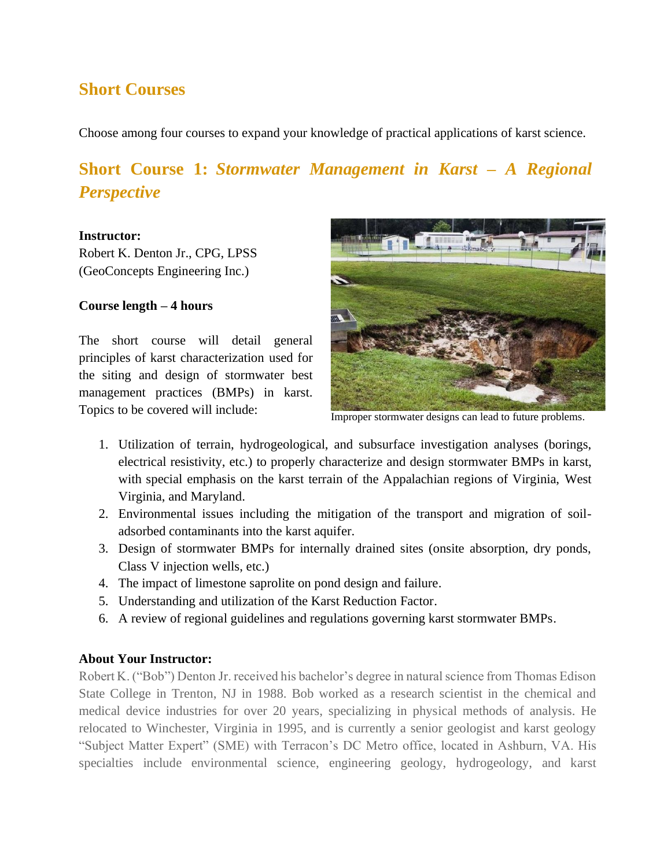### **Short Courses**

Choose among four courses to expand your knowledge of practical applications of karst science.

# **Short Course 1:** *Stormwater Management in Karst – A Regional Perspective*

#### **Instructor:**

Robert K. Denton Jr., CPG, LPSS (GeoConcepts Engineering Inc.)

### **Course length – 4 hours**

The short course will detail general principles of karst characterization used for the siting and design of stormwater best management practices (BMPs) in karst. Topics to be covered will include:



Improper stormwater designs can lead to future problems.

- 1. Utilization of terrain, hydrogeological, and subsurface investigation analyses (borings, electrical resistivity, etc.) to properly characterize and design stormwater BMPs in karst, with special emphasis on the karst terrain of the Appalachian regions of Virginia, West Virginia, and Maryland.
- 2. Environmental issues including the mitigation of the transport and migration of soiladsorbed contaminants into the karst aquifer.
- 3. Design of stormwater BMPs for internally drained sites (onsite absorption, dry ponds, Class V injection wells, etc.)
- 4. The impact of limestone saprolite on pond design and failure.
- 5. Understanding and utilization of the Karst Reduction Factor.
- 6. A review of regional guidelines and regulations governing karst stormwater BMPs.

### **About Your Instructor:**

Robert K. ("Bob") Denton Jr. received his bachelor's degree in natural science from Thomas Edison State College in Trenton, NJ in 1988. Bob worked as a research scientist in the chemical and medical device industries for over 20 years, specializing in physical methods of analysis. He relocated to Winchester, Virginia in 1995, and is currently a senior geologist and karst geology "Subject Matter Expert" (SME) with Terracon's DC Metro office, located in Ashburn, VA. His specialties include environmental science, engineering geology, hydrogeology, and karst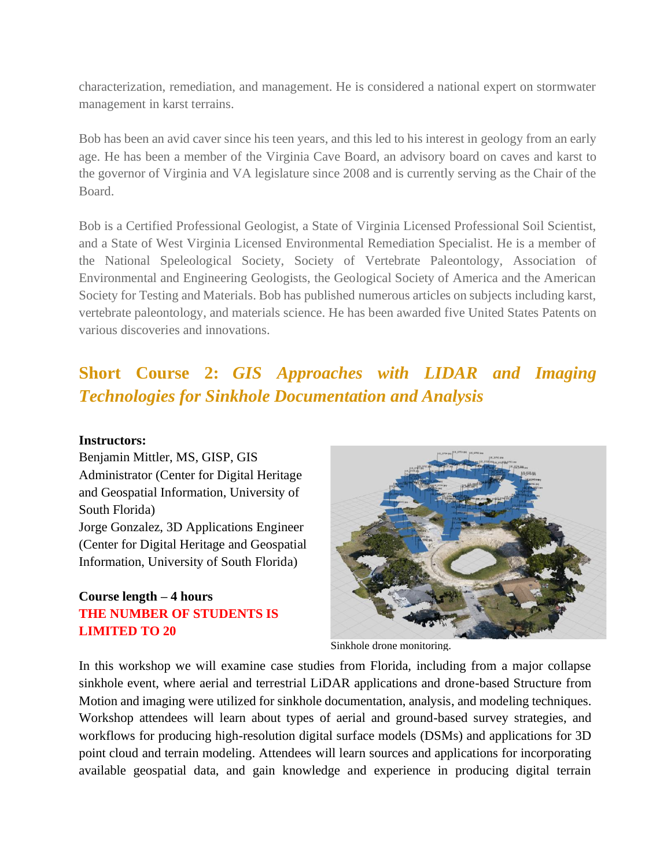characterization, remediation, and management. He is considered a national expert on stormwater management in karst terrains.

Bob has been an avid caver since his teen years, and this led to his interest in geology from an early age. He has been a member of the Virginia Cave Board, an advisory board on caves and karst to the governor of Virginia and VA legislature since 2008 and is currently serving as the Chair of the Board.

Bob is a Certified Professional Geologist, a State of Virginia Licensed Professional Soil Scientist, and a State of West Virginia Licensed Environmental Remediation Specialist. He is a member of the National Speleological Society, Society of Vertebrate Paleontology, Association of Environmental and Engineering Geologists, the Geological Society of America and the American Society for Testing and Materials. Bob has published numerous articles on subjects including karst, vertebrate paleontology, and materials science. He has been awarded five United States Patents on various discoveries and innovations.

# **Short Course 2:** *GIS Approaches with LIDAR and Imaging Technologies for Sinkhole Documentation and Analysis*

### **Instructors:**

Benjamin Mittler, MS, GISP, GIS Administrator (Center for Digital Heritage and Geospatial Information, University of South Florida) Jorge Gonzalez, 3D Applications Engineer (Center for Digital Heritage and Geospatial Information, University of South Florida)

### **Course length – 4 hours THE NUMBER OF STUDENTS IS LIMITED TO 20**



Sinkhole drone monitoring.

In this workshop we will examine case studies from Florida, including from a major collapse sinkhole event, where aerial and terrestrial LiDAR applications and drone-based Structure from Motion and imaging were utilized for sinkhole documentation, analysis, and modeling techniques. Workshop attendees will learn about types of aerial and ground-based survey strategies, and workflows for producing high-resolution digital surface models (DSMs) and applications for 3D point cloud and terrain modeling. Attendees will learn sources and applications for incorporating available geospatial data, and gain knowledge and experience in producing digital terrain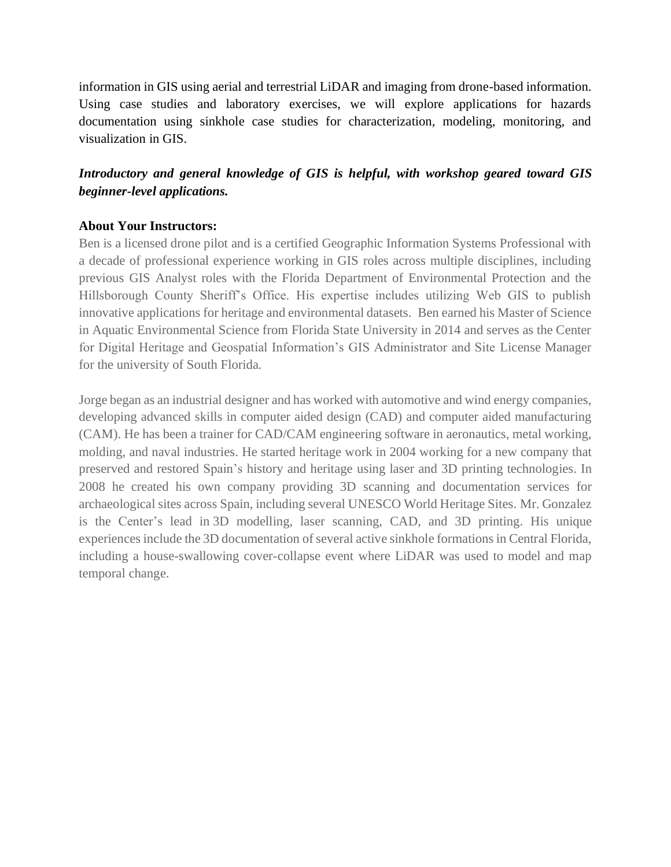information in GIS using aerial and terrestrial LiDAR and imaging from drone-based information. Using case studies and laboratory exercises, we will explore applications for hazards documentation using sinkhole case studies for characterization, modeling, monitoring, and visualization in GIS.

### *Introductory and general knowledge of GIS is helpful, with workshop geared toward GIS beginner-level applications.*

### **About Your Instructors:**

Ben is a licensed drone pilot and is a certified Geographic Information Systems Professional with a decade of professional experience working in GIS roles across multiple disciplines, including previous GIS Analyst roles with the Florida Department of Environmental Protection and the Hillsborough County Sheriff's Office. His expertise includes utilizing Web GIS to publish innovative applications for heritage and environmental datasets. Ben earned his Master of Science in Aquatic Environmental Science from Florida State University in 2014 and serves as the Center for Digital Heritage and Geospatial Information's GIS Administrator and Site License Manager for the university of South Florida.

Jorge began as an industrial designer and has worked with automotive and wind energy companies, developing advanced skills in computer aided design (CAD) and computer aided manufacturing (CAM). He has been a trainer for CAD/CAM engineering software in aeronautics, metal working, molding, and naval industries. He started heritage work in 2004 working for a new company that preserved and restored Spain's history and heritage using laser and 3D printing technologies. In 2008 he created his own company providing 3D scanning and documentation services for archaeological sites across Spain, including several UNESCO World Heritage Sites. Mr. Gonzalez is the Center's lead in 3D modelling, laser scanning, CAD, and 3D printing. His unique experiences include the 3D documentation of several active sinkhole formations in Central Florida, including a house-swallowing cover-collapse event where LiDAR was used to model and map temporal change.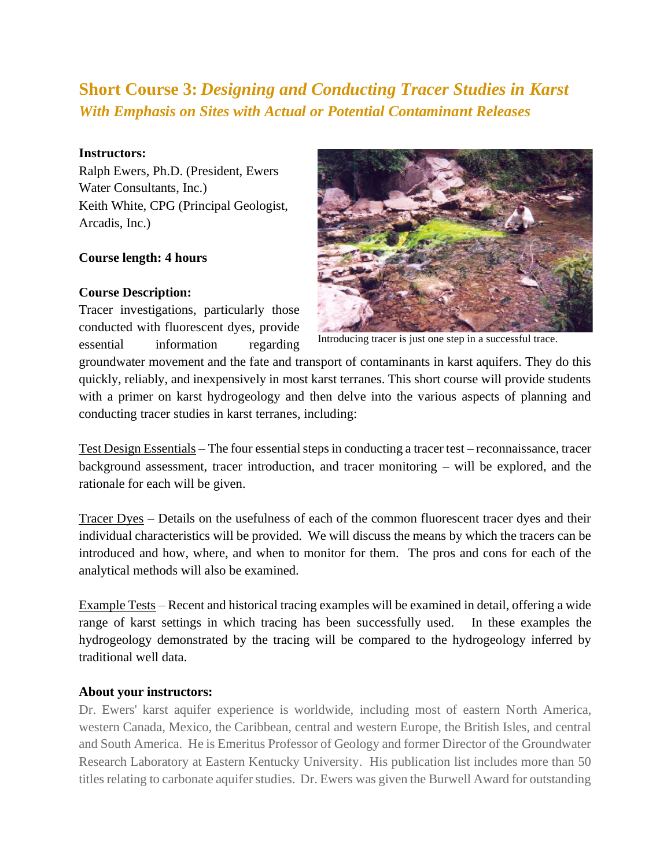## **Short Course 3:** *Designing and Conducting Tracer Studies in Karst With Emphasis on Sites with Actual or Potential Contaminant Releases*

### **Instructors:**

Ralph Ewers, Ph.D. (President, Ewers Water Consultants, Inc.) Keith White, CPG (Principal Geologist, Arcadis, Inc.)

### **Course length: 4 hours**

### **Course Description:**

Tracer investigations, particularly those conducted with fluorescent dyes, provide essential information regarding



Introducing tracer is just one step in a successful trace.

groundwater movement and the fate and transport of contaminants in karst aquifers. They do this quickly, reliably, and inexpensively in most karst terranes. This short course will provide students with a primer on karst hydrogeology and then delve into the various aspects of planning and conducting tracer studies in karst terranes, including:

Test Design Essentials – The four essential steps in conducting a tracer test – reconnaissance, tracer background assessment, tracer introduction, and tracer monitoring – will be explored, and the rationale for each will be given.

Tracer Dyes – Details on the usefulness of each of the common fluorescent tracer dyes and their individual characteristics will be provided. We will discuss the means by which the tracers can be introduced and how, where, and when to monitor for them. The pros and cons for each of the analytical methods will also be examined.

Example Tests – Recent and historical tracing examples will be examined in detail, offering a wide range of karst settings in which tracing has been successfully used. In these examples the hydrogeology demonstrated by the tracing will be compared to the hydrogeology inferred by traditional well data.

### **About your instructors:**

Dr. Ewers' karst aquifer experience is worldwide, including most of eastern North America, western Canada, Mexico, the Caribbean, central and western Europe, the British Isles, and central and South America. He is Emeritus Professor of Geology and former Director of the Groundwater Research Laboratory at Eastern Kentucky University. His publication list includes more than 50 titles relating to carbonate aquifer studies. Dr. Ewers was given the Burwell Award for outstanding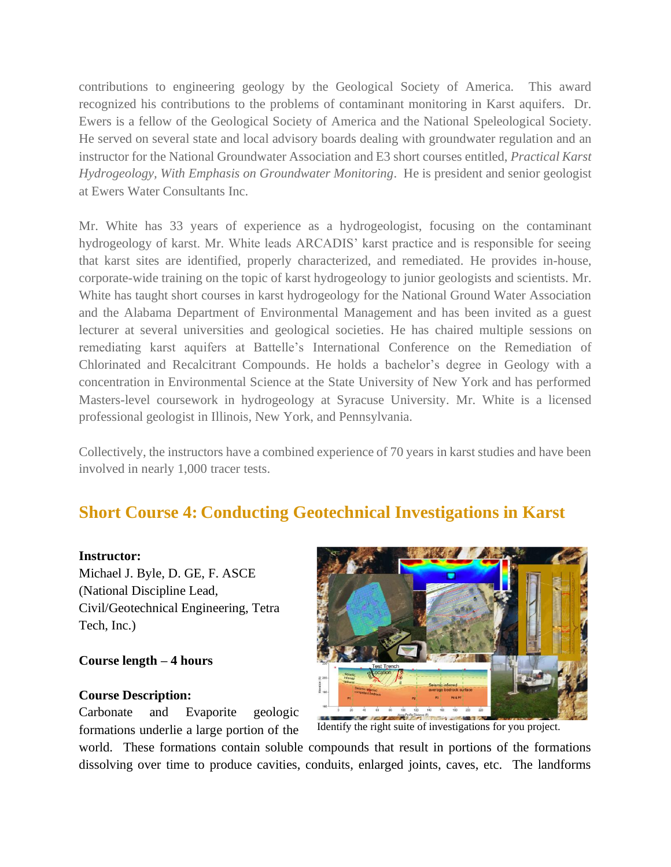contributions to engineering geology by the Geological Society of America. This award recognized his contributions to the problems of contaminant monitoring in Karst aquifers. Dr. Ewers is a fellow of the Geological Society of America and the National Speleological Society. He served on several state and local advisory boards dealing with groundwater regulation and an instructor for the National Groundwater Association and E3 short courses entitled, *Practical Karst Hydrogeology, With Emphasis on Groundwater Monitoring*. He is president and senior geologist at Ewers Water Consultants Inc.

Mr. White has 33 years of experience as a hydrogeologist, focusing on the contaminant hydrogeology of karst. Mr. White leads ARCADIS' karst practice and is responsible for seeing that karst sites are identified, properly characterized, and remediated. He provides in-house, corporate-wide training on the topic of karst hydrogeology to junior geologists and scientists. Mr. White has taught short courses in karst hydrogeology for the National Ground Water Association and the Alabama Department of Environmental Management and has been invited as a guest lecturer at several universities and geological societies. He has chaired multiple sessions on remediating karst aquifers at Battelle's International Conference on the Remediation of Chlorinated and Recalcitrant Compounds. He holds a bachelor's degree in Geology with a concentration in Environmental Science at the State University of New York and has performed Masters-level coursework in hydrogeology at Syracuse University. Mr. White is a licensed professional geologist in Illinois, New York, and Pennsylvania.

Collectively, the instructors have a combined experience of 70 years in karst studies and have been involved in nearly 1,000 tracer tests.

## **Short Course 4: Conducting Geotechnical Investigations in Karst**

### **Instructor:**

Michael J. Byle, D. GE, F. ASCE (National Discipline Lead, Civil/Geotechnical Engineering, Tetra Tech, Inc.)

### **Course length – 4 hours**

#### **Course Description:**

Carbonate and Evaporite geologic formations underlie a large portion of the



Identify the right suite of investigations for you project.

world. These formations contain soluble compounds that result in portions of the formations dissolving over time to produce cavities, conduits, enlarged joints, caves, etc. The landforms